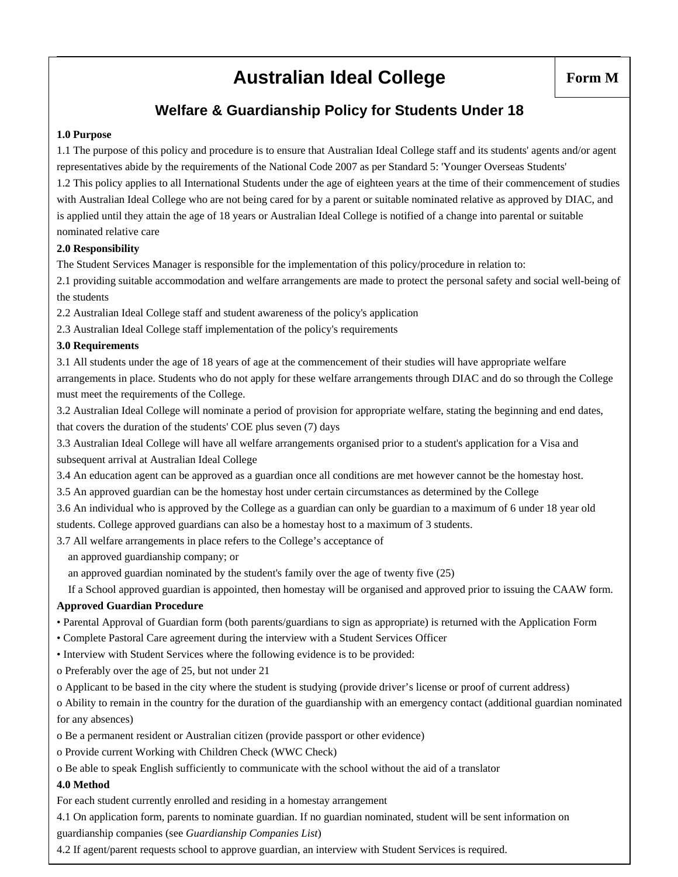# **Australian Ideal College**

# **Welfare & Guardianship Policy for Students Under 18**

#### **1.0 Purpose**

1.1 The purpose of this policy and procedure is to ensure that Australian Ideal College staff and its students' agents and/or agent representatives abide by the requirements of the National Code 2007 as per Standard 5: 'Younger Overseas Students' 1.2 This policy applies to all International Students under the age of eighteen years at the time of their commencement of studies

with Australian Ideal College who are not being cared for by a parent or suitable nominated relative as approved by DIAC, and is applied until they attain the age of 18 years or Australian Ideal College is notified of a change into parental or suitable nominated relative care

#### **2.0 Responsibility**

The Student Services Manager is responsible for the implementation of this policy/procedure in relation to:

2.1 providing suitable accommodation and welfare arrangements are made to protect the personal safety and social well-being of the students

2.2 Australian Ideal College staff and student awareness of the policy's application

2.3 Australian Ideal College staff implementation of the policy's requirements

#### **3.0 Requirements**

3.1 All students under the age of 18 years of age at the commencement of their studies will have appropriate welfare arrangements in place. Students who do not apply for these welfare arrangements through DIAC and do so through the College must meet the requirements of the College.

3.2 Australian Ideal College will nominate a period of provision for appropriate welfare, stating the beginning and end dates, that covers the duration of the students' COE plus seven (7) days

3.3 Australian Ideal College will have all welfare arrangements organised prior to a student's application for a Visa and subsequent arrival at Australian Ideal College

3.4 An education agent can be approved as a guardian once all conditions are met however cannot be the homestay host.

3.5 An approved guardian can be the homestay host under certain circumstances as determined by the College

3.6 An individual who is approved by the College as a guardian can only be guardian to a maximum of 6 under 18 year old

students. College approved guardians can also be a homestay host to a maximum of 3 students.

3.7 All welfare arrangements in place refers to the College's acceptance of

an approved guardianship company; or

an approved guardian nominated by the student's family over the age of twenty five (25)

If a School approved guardian is appointed, then homestay will be organised and approved prior to issuing the CAAW form.

#### **Approved Guardian Procedure**

- Parental Approval of Guardian form (both parents/guardians to sign as appropriate) is returned with the Application Form
- Complete Pastoral Care agreement during the interview with a Student Services Officer
- Interview with Student Services where the following evidence is to be provided:
- o Preferably over the age of 25, but not under 21

o Applicant to be based in the city where the student is studying (provide driver's license or proof of current address)

o Ability to remain in the country for the duration of the guardianship with an emergency contact (additional guardian nominated for any absences)

o Be a permanent resident or Australian citizen (provide passport or other evidence)

o Provide current Working with Children Check (WWC Check)

o Be able to speak English sufficiently to communicate with the school without the aid of a translator

#### **4.0 Method**

For each student currently enrolled and residing in a homestay arrangement

4.1 On application form, parents to nominate guardian. If no guardian nominated, student will be sent information on guardianship companies (see *Guardianship Companies List*)

4.2 If agent/parent requests school to approve guardian, an interview with Student Services is required.